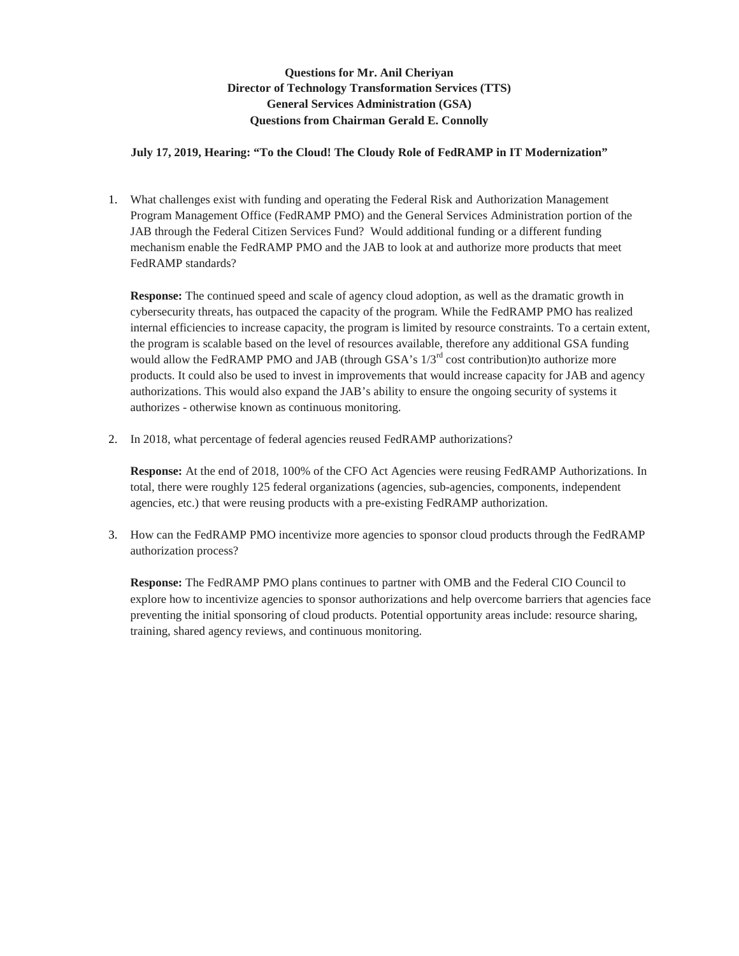## **Questions for Mr. Anil Cheriyan Director of Technology Transformation Services (TTS) General Services Administration (GSA) Questions from Chairman Gerald E. Connolly**

## **July 17, 2019, Hearing: "To the Cloud! The Cloudy Role of FedRAMP in IT Modernization"**

1. What challenges exist with funding and operating the Federal Risk and Authorization Management Program Management Office (FedRAMP PMO) and the General Services Administration portion of the JAB through the Federal Citizen Services Fund? Would additional funding or a different funding mechanism enable the FedRAMP PMO and the JAB to look at and authorize more products that meet FedRAMP standards?

**Response:** The continued speed and scale of agency cloud adoption, as well as the dramatic growth in cybersecurity threats, has outpaced the capacity of the program. While the FedRAMP PMO has realized internal efficiencies to increase capacity, the program is limited by resource constraints. To a certain extent, the program is scalable based on the level of resources available, therefore any additional GSA funding would allow the FedRAMP PMO and JAB (through GSA's  $1/3<sup>rd</sup>$  cost contribution)to authorize more products. It could also be used to invest in improvements that would increase capacity for JAB and agency authorizations. This would also expand the JAB's ability to ensure the ongoing security of systems it authorizes - otherwise known as continuous monitoring.

2. In 2018, what percentage of federal agencies reused FedRAMP authorizations?

**Response:** At the end of 2018, 100% of the CFO Act Agencies were reusing FedRAMP Authorizations. In total, there were roughly 125 federal organizations (agencies, sub-agencies, components, independent agencies, etc.) that were reusing products with a pre-existing FedRAMP authorization.

3. How can the FedRAMP PMO incentivize more agencies to sponsor cloud products through the FedRAMP authorization process?

**Response:** The FedRAMP PMO plans continues to partner with OMB and the Federal CIO Council to explore how to incentivize agencies to sponsor authorizations and help overcome barriers that agencies face preventing the initial sponsoring of cloud products. Potential opportunity areas include: resource sharing, training, shared agency reviews, and continuous monitoring.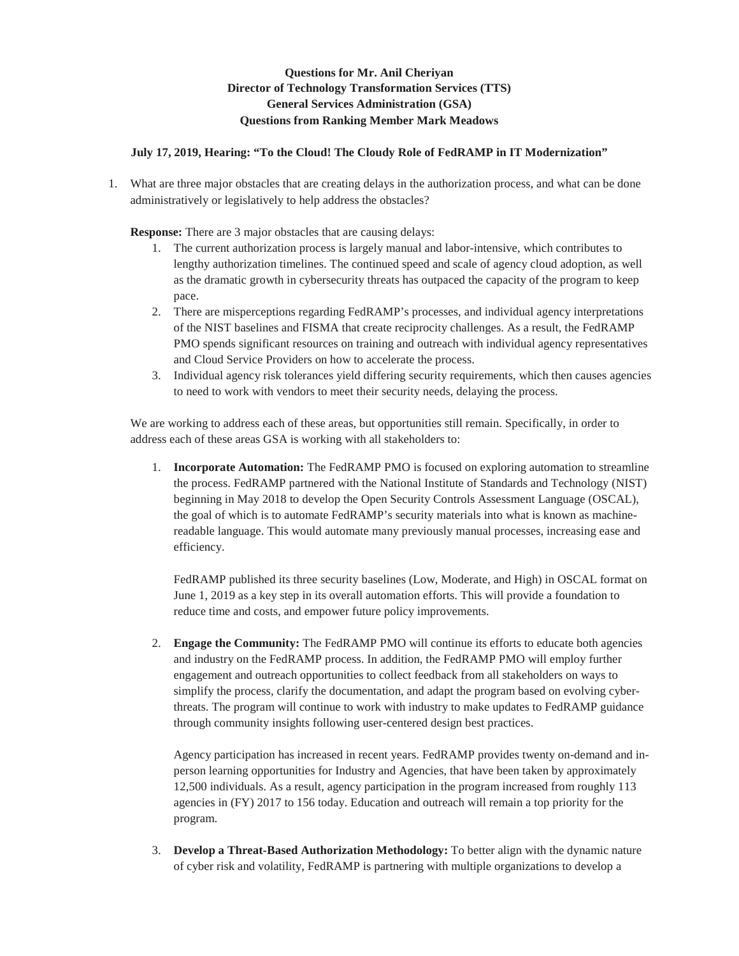## **Questions for Mr. Anil Cheriyan Director of Technology Transformation Services (TTS) General Services Administration (GSA) Questions from Ranking Member Mark Meadows**

## **July 17, 2019, Hearing: "To the Cloud! The Cloudy Role of FedRAMP in IT Modernization"**

1. What are three major obstacles that are creating delays in the authorization process, and what can be done administratively or legislatively to help address the obstacles?

**Response:** There are 3 major obstacles that are causing delays:

- 1. The current authorization process is largely manual and labor-intensive, which contributes to lengthy authorization timelines. The continued speed and scale of agency cloud adoption, as well as the dramatic growth in cybersecurity threats has outpaced the capacity of the program to keep pace.
- 2. There are misperceptions regarding FedRAMP's processes, and individual agency interpretations of the NIST baselines and FISMA that create reciprocity challenges. As a result, the FedRAMP PMO spends significant resources on training and outreach with individual agency representatives and Cloud Service Providers on how to accelerate the process.
- 3. Individual agency risk tolerances yield differing security requirements, which then causes agencies to need to work with vendors to meet their security needs, delaying the process.

We are working to address each of these areas, but opportunities still remain. Specifically, in order to address each of these areas GSA is working with all stakeholders to:

1. **Incorporate Automation:** The FedRAMP PMO is focused on exploring automation to streamline the process. FedRAMP partnered with the National Institute of Standards and Technology (NIST) beginning in May 2018 to develop the Open Security Controls Assessment Language (OSCAL), the goal of which is to automate FedRAMP's security materials into what is known as machinereadable language. This would automate many previously manual processes, increasing ease and efficiency.

FedRAMP published its three security baselines (Low, Moderate, and High) in OSCAL format on June 1, 2019 as a key step in its overall automation efforts. This will provide a foundation to reduce time and costs, and empower future policy improvements.

2. **Engage the Community:** The FedRAMP PMO will continue its efforts to educate both agencies and industry on the FedRAMP process. In addition, the FedRAMP PMO will employ further engagement and outreach opportunities to collect feedback from all stakeholders on ways to simplify the process, clarify the documentation, and adapt the program based on evolving cyberthreats. The program will continue to work with industry to make updates to FedRAMP guidance through community insights following user-centered design best practices.

Agency participation has increased in recent years. FedRAMP provides twenty on-demand and inperson learning opportunities for Industry and Agencies, that have been taken by approximately 12,500 individuals. As a result, agency participation in the program increased from roughly 113 agencies in (FY) 2017 to 156 today. Education and outreach will remain a top priority for the program.

3. **Develop a Threat-Based Authorization Methodology:** To better align with the dynamic nature of cyber risk and volatility, FedRAMP is partnering with multiple organizations to develop a